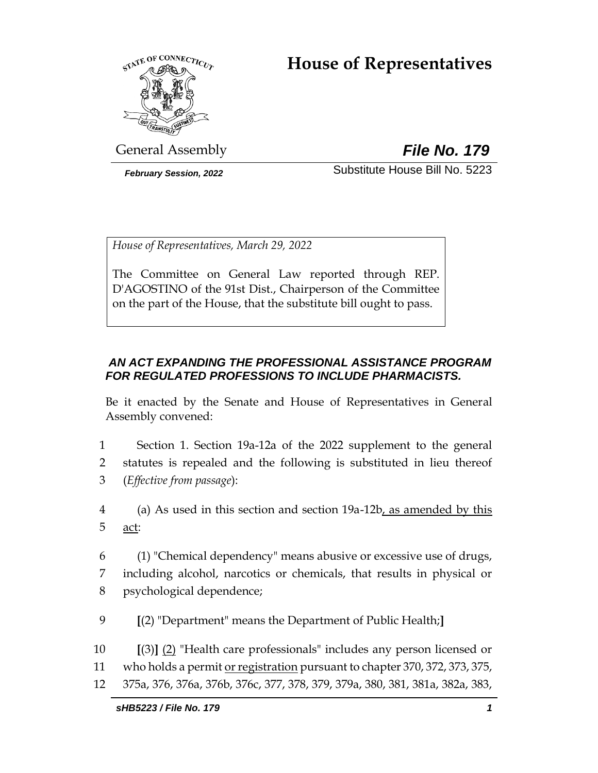# **House of Representatives**



General Assembly *File No. 179*

*February Session, 2022* Substitute House Bill No. 5223

*House of Representatives, March 29, 2022*

The Committee on General Law reported through REP. D'AGOSTINO of the 91st Dist., Chairperson of the Committee on the part of the House, that the substitute bill ought to pass.

## *AN ACT EXPANDING THE PROFESSIONAL ASSISTANCE PROGRAM FOR REGULATED PROFESSIONS TO INCLUDE PHARMACISTS.*

Be it enacted by the Senate and House of Representatives in General Assembly convened:

- 1 Section 1. Section 19a-12a of the 2022 supplement to the general 2 statutes is repealed and the following is substituted in lieu thereof 3 (*Effective from passage*):
- 4 (a) As used in this section and section 19a-12b, as amended by this 5 act:
- 6 (1) "Chemical dependency" means abusive or excessive use of drugs, 7 including alcohol, narcotics or chemicals, that results in physical or 8 psychological dependence;
- 9 **[**(2) "Department" means the Department of Public Health;**]**
- 10 **[**(3)**]** (2) "Health care professionals" includes any person licensed or
- 11 who holds a permit or registration pursuant to chapter 370, 372, 373, 375,
- 12 375a, 376, 376a, 376b, 376c, 377, 378, 379, 379a, 380, 381, 381a, 382a, 383,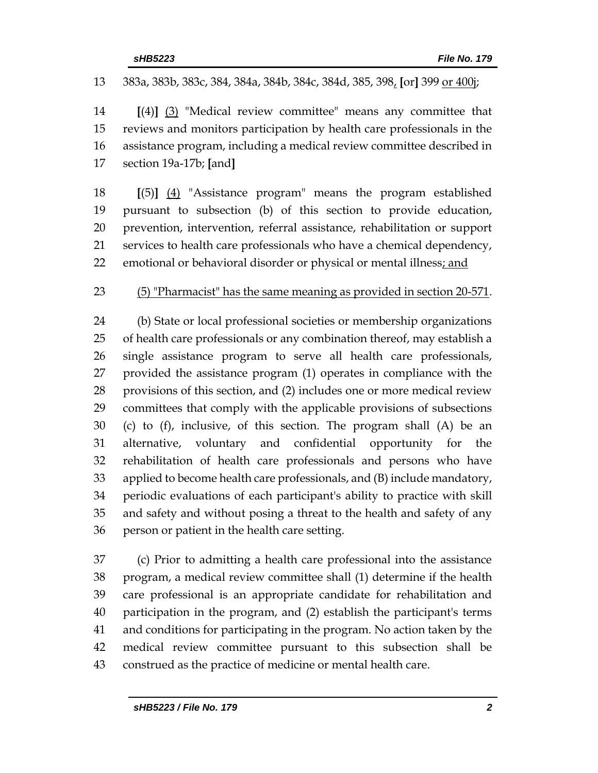383a, 383b, 383c, 384, 384a, 384b, 384c, 384d, 385, 398, **[**or**]** 399 or 400j; **[**(4)**]** (3) "Medical review committee" means any committee that reviews and monitors participation by health care professionals in the assistance program, including a medical review committee described in section 19a-17b; **[**and**] [**(5)**]** (4) "Assistance program" means the program established pursuant to subsection (b) of this section to provide education, prevention, intervention, referral assistance, rehabilitation or support services to health care professionals who have a chemical dependency, emotional or behavioral disorder or physical or mental illness; and (5) "Pharmacist" has the same meaning as provided in section 20-571. (b) State or local professional societies or membership organizations of health care professionals or any combination thereof, may establish a single assistance program to serve all health care professionals, provided the assistance program (1) operates in compliance with the provisions of this section, and (2) includes one or more medical review committees that comply with the applicable provisions of subsections (c) to (f), inclusive, of this section. The program shall (A) be an alternative, voluntary and confidential opportunity for the rehabilitation of health care professionals and persons who have applied to become health care professionals, and (B) include mandatory, periodic evaluations of each participant's ability to practice with skill and safety and without posing a threat to the health and safety of any person or patient in the health care setting. (c) Prior to admitting a health care professional into the assistance program, a medical review committee shall (1) determine if the health care professional is an appropriate candidate for rehabilitation and participation in the program, and (2) establish the participant's terms

 medical review committee pursuant to this subsection shall be construed as the practice of medicine or mental health care.

and conditions for participating in the program. No action taken by the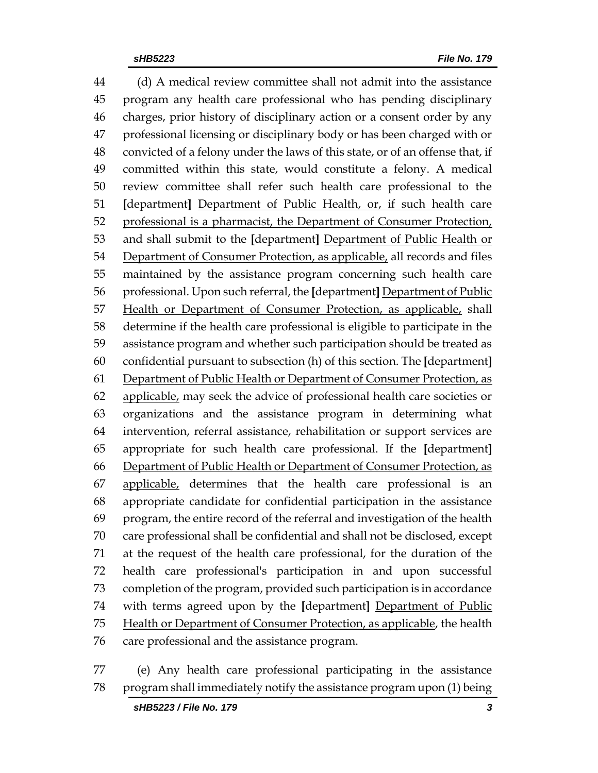(d) A medical review committee shall not admit into the assistance program any health care professional who has pending disciplinary charges, prior history of disciplinary action or a consent order by any professional licensing or disciplinary body or has been charged with or convicted of a felony under the laws of this state, or of an offense that, if committed within this state, would constitute a felony. A medical review committee shall refer such health care professional to the **[**department**]** Department of Public Health, or, if such health care professional is a pharmacist, the Department of Consumer Protection, and shall submit to the **[**department**]** Department of Public Health or 54 Department of Consumer Protection, as applicable, all records and files maintained by the assistance program concerning such health care professional. Upon such referral, the **[**department**]** Department of Public 57 Health or Department of Consumer Protection, as applicable, shall determine if the health care professional is eligible to participate in the assistance program and whether such participation should be treated as confidential pursuant to subsection (h) of this section. The **[**department**]** Department of Public Health or Department of Consumer Protection, as applicable, may seek the advice of professional health care societies or organizations and the assistance program in determining what intervention, referral assistance, rehabilitation or support services are appropriate for such health care professional. If the **[**department**]** Department of Public Health or Department of Consumer Protection, as applicable, determines that the health care professional is an appropriate candidate for confidential participation in the assistance program, the entire record of the referral and investigation of the health care professional shall be confidential and shall not be disclosed, except at the request of the health care professional, for the duration of the health care professional's participation in and upon successful completion of the program, provided such participation is in accordance with terms agreed upon by the **[**department**]** Department of Public Health or Department of Consumer Protection, as applicable, the health care professional and the assistance program.

 (e) Any health care professional participating in the assistance program shall immediately notify the assistance program upon (1) being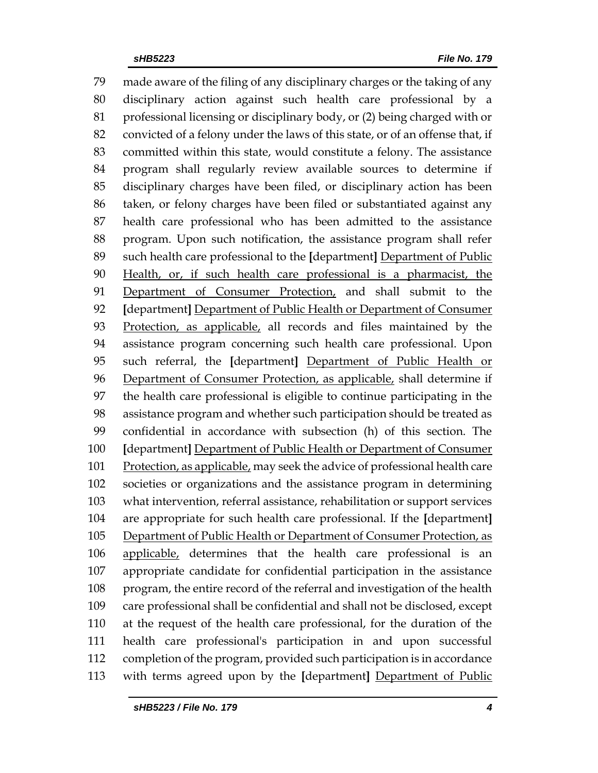made aware of the filing of any disciplinary charges or the taking of any disciplinary action against such health care professional by a professional licensing or disciplinary body, or (2) being charged with or convicted of a felony under the laws of this state, or of an offense that, if committed within this state, would constitute a felony. The assistance program shall regularly review available sources to determine if disciplinary charges have been filed, or disciplinary action has been taken, or felony charges have been filed or substantiated against any health care professional who has been admitted to the assistance program. Upon such notification, the assistance program shall refer such health care professional to the **[**department**]** Department of Public Health, or, if such health care professional is a pharmacist, the 91 Department of Consumer Protection, and shall submit to the **[**department**]** Department of Public Health or Department of Consumer 93 Protection, as applicable, all records and files maintained by the assistance program concerning such health care professional. Upon such referral, the **[**department**]** Department of Public Health or Department of Consumer Protection, as applicable, shall determine if the health care professional is eligible to continue participating in the assistance program and whether such participation should be treated as confidential in accordance with subsection (h) of this section. The **[**department**]** Department of Public Health or Department of Consumer 101 Protection, as applicable, may seek the advice of professional health care societies or organizations and the assistance program in determining what intervention, referral assistance, rehabilitation or support services are appropriate for such health care professional. If the **[**department**]** Department of Public Health or Department of Consumer Protection, as applicable, determines that the health care professional is an appropriate candidate for confidential participation in the assistance program, the entire record of the referral and investigation of the health care professional shall be confidential and shall not be disclosed, except at the request of the health care professional, for the duration of the health care professional's participation in and upon successful completion of the program, provided such participation is in accordance with terms agreed upon by the **[**department**]** Department of Public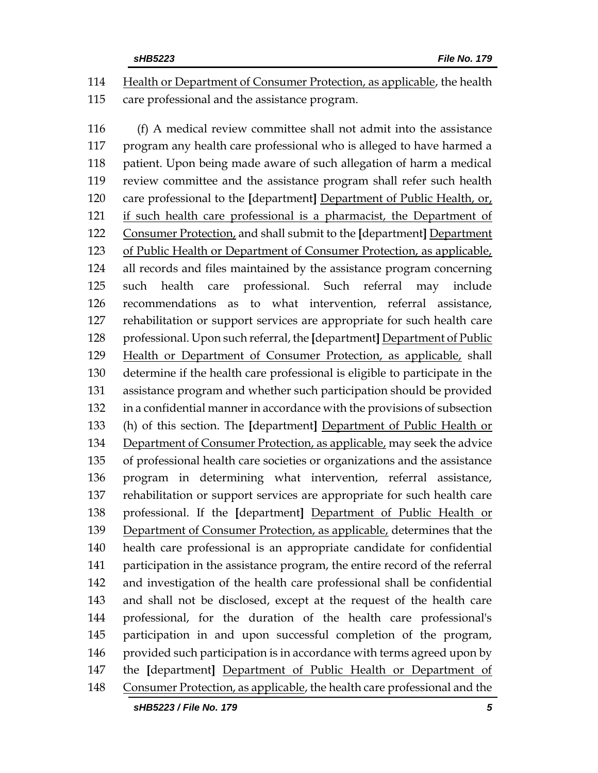Health or Department of Consumer Protection, as applicable, the health care professional and the assistance program.

 (f) A medical review committee shall not admit into the assistance program any health care professional who is alleged to have harmed a patient. Upon being made aware of such allegation of harm a medical review committee and the assistance program shall refer such health care professional to the **[**department**]** Department of Public Health, or, if such health care professional is a pharmacist, the Department of Consumer Protection, and shall submit to the **[**department**]** Department of Public Health or Department of Consumer Protection, as applicable, all records and files maintained by the assistance program concerning such health care professional. Such referral may include recommendations as to what intervention, referral assistance, rehabilitation or support services are appropriate for such health care professional. Upon such referral, the **[**department**]** Department of Public Health or Department of Consumer Protection, as applicable, shall determine if the health care professional is eligible to participate in the assistance program and whether such participation should be provided in a confidential manner in accordance with the provisions of subsection (h) of this section. The **[**department**]** Department of Public Health or 134 Department of Consumer Protection, as applicable, may seek the advice of professional health care societies or organizations and the assistance program in determining what intervention, referral assistance, rehabilitation or support services are appropriate for such health care professional. If the **[**department**]** Department of Public Health or Department of Consumer Protection, as applicable, determines that the health care professional is an appropriate candidate for confidential participation in the assistance program, the entire record of the referral and investigation of the health care professional shall be confidential and shall not be disclosed, except at the request of the health care professional, for the duration of the health care professional's participation in and upon successful completion of the program, 146 provided such participation is in accordance with terms agreed upon by the **[**department**]** Department of Public Health or Department of 148 Consumer Protection, as applicable, the health care professional and the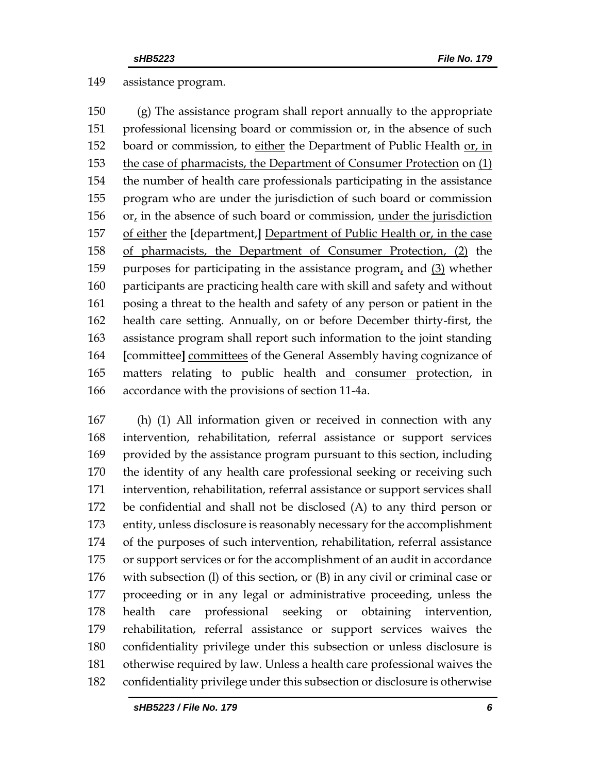### assistance program.

 (g) The assistance program shall report annually to the appropriate professional licensing board or commission or, in the absence of such board or commission, to either the Department of Public Health or, in 153 the case of pharmacists, the Department of Consumer Protection on (1) the number of health care professionals participating in the assistance program who are under the jurisdiction of such board or commission or, in the absence of such board or commission, under the jurisdiction of either the **[**department,**]** Department of Public Health or, in the case of pharmacists, the Department of Consumer Protection, (2) the purposes for participating in the assistance program, and (3) whether participants are practicing health care with skill and safety and without posing a threat to the health and safety of any person or patient in the health care setting. Annually, on or before December thirty-first, the assistance program shall report such information to the joint standing **[**committee**]** committees of the General Assembly having cognizance of matters relating to public health and consumer protection, in accordance with the provisions of section 11-4a.

 (h) (1) All information given or received in connection with any intervention, rehabilitation, referral assistance or support services provided by the assistance program pursuant to this section, including the identity of any health care professional seeking or receiving such intervention, rehabilitation, referral assistance or support services shall be confidential and shall not be disclosed (A) to any third person or entity, unless disclosure is reasonably necessary for the accomplishment of the purposes of such intervention, rehabilitation, referral assistance or support services or for the accomplishment of an audit in accordance with subsection (l) of this section, or (B) in any civil or criminal case or proceeding or in any legal or administrative proceeding, unless the health care professional seeking or obtaining intervention, rehabilitation, referral assistance or support services waives the confidentiality privilege under this subsection or unless disclosure is otherwise required by law. Unless a health care professional waives the confidentiality privilege under this subsection or disclosure is otherwise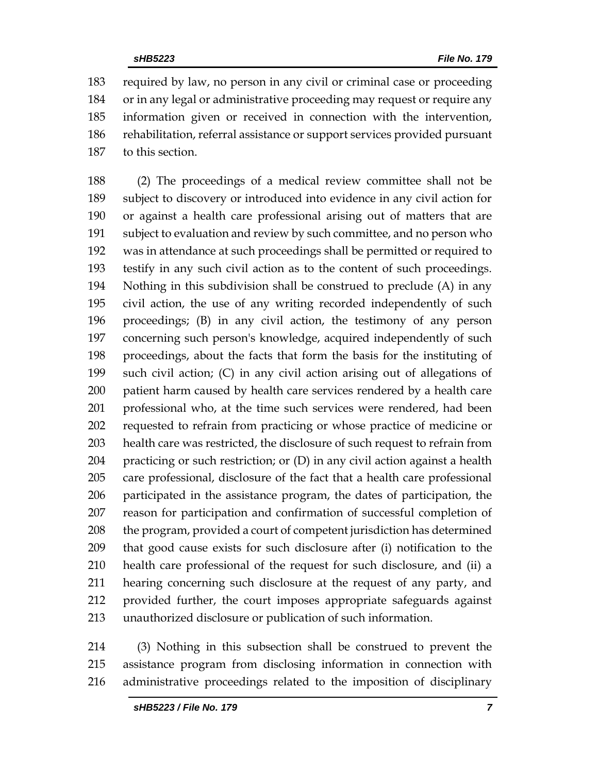required by law, no person in any civil or criminal case or proceeding or in any legal or administrative proceeding may request or require any information given or received in connection with the intervention, rehabilitation, referral assistance or support services provided pursuant to this section.

 (2) The proceedings of a medical review committee shall not be subject to discovery or introduced into evidence in any civil action for or against a health care professional arising out of matters that are subject to evaluation and review by such committee, and no person who was in attendance at such proceedings shall be permitted or required to testify in any such civil action as to the content of such proceedings. Nothing in this subdivision shall be construed to preclude (A) in any civil action, the use of any writing recorded independently of such proceedings; (B) in any civil action, the testimony of any person concerning such person's knowledge, acquired independently of such proceedings, about the facts that form the basis for the instituting of such civil action; (C) in any civil action arising out of allegations of patient harm caused by health care services rendered by a health care professional who, at the time such services were rendered, had been requested to refrain from practicing or whose practice of medicine or health care was restricted, the disclosure of such request to refrain from practicing or such restriction; or (D) in any civil action against a health care professional, disclosure of the fact that a health care professional participated in the assistance program, the dates of participation, the reason for participation and confirmation of successful completion of 208 the program, provided a court of competent jurisdiction has determined that good cause exists for such disclosure after (i) notification to the health care professional of the request for such disclosure, and (ii) a hearing concerning such disclosure at the request of any party, and provided further, the court imposes appropriate safeguards against unauthorized disclosure or publication of such information.

 (3) Nothing in this subsection shall be construed to prevent the assistance program from disclosing information in connection with administrative proceedings related to the imposition of disciplinary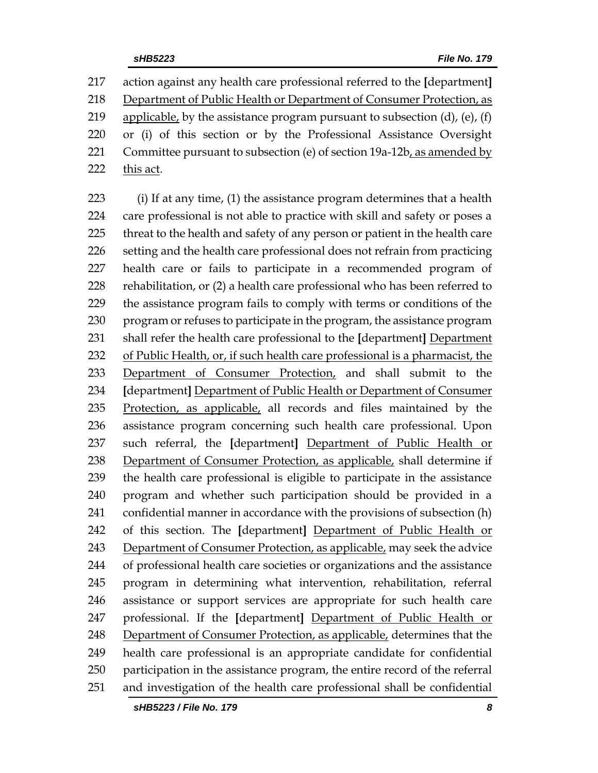action against any health care professional referred to the **[**department**]** Department of Public Health or Department of Consumer Protection, as 219 applicable, by the assistance program pursuant to subsection  $(d)$ ,  $(e)$ ,  $(f)$  or (i) of this section or by the Professional Assistance Oversight 221 Committee pursuant to subsection (e) of section  $19a-12b$ , as amended by 222 this act.

 (i) If at any time, (1) the assistance program determines that a health care professional is not able to practice with skill and safety or poses a threat to the health and safety of any person or patient in the health care setting and the health care professional does not refrain from practicing health care or fails to participate in a recommended program of rehabilitation, or (2) a health care professional who has been referred to the assistance program fails to comply with terms or conditions of the program or refuses to participate in the program, the assistance program shall refer the health care professional to the **[**department**]** Department of Public Health, or, if such health care professional is a pharmacist, the Department of Consumer Protection, and shall submit to the **[**department**]** Department of Public Health or Department of Consumer Protection, as applicable, all records and files maintained by the assistance program concerning such health care professional. Upon such referral, the **[**department**]** Department of Public Health or 238 Department of Consumer Protection, as applicable, shall determine if the health care professional is eligible to participate in the assistance program and whether such participation should be provided in a confidential manner in accordance with the provisions of subsection (h) of this section. The **[**department**]** Department of Public Health or Department of Consumer Protection, as applicable, may seek the advice of professional health care societies or organizations and the assistance program in determining what intervention, rehabilitation, referral assistance or support services are appropriate for such health care professional. If the **[**department**]** Department of Public Health or Department of Consumer Protection, as applicable, determines that the health care professional is an appropriate candidate for confidential participation in the assistance program, the entire record of the referral and investigation of the health care professional shall be confidential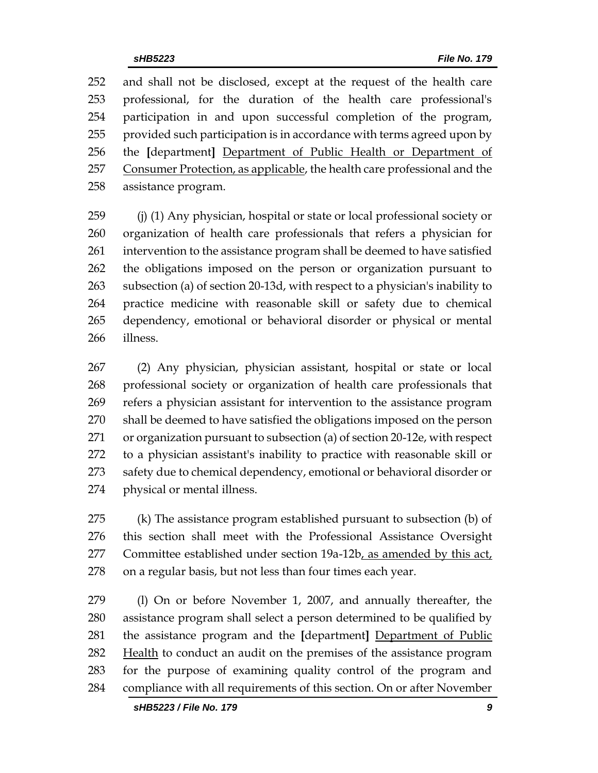and shall not be disclosed, except at the request of the health care professional, for the duration of the health care professional's participation in and upon successful completion of the program, provided such participation is in accordance with terms agreed upon by the **[**department**]** Department of Public Health or Department of 257 Consumer Protection, as applicable, the health care professional and the assistance program.

 (j) (1) Any physician, hospital or state or local professional society or organization of health care professionals that refers a physician for intervention to the assistance program shall be deemed to have satisfied the obligations imposed on the person or organization pursuant to subsection (a) of section 20-13d, with respect to a physician's inability to practice medicine with reasonable skill or safety due to chemical dependency, emotional or behavioral disorder or physical or mental illness.

 (2) Any physician, physician assistant, hospital or state or local professional society or organization of health care professionals that refers a physician assistant for intervention to the assistance program shall be deemed to have satisfied the obligations imposed on the person or organization pursuant to subsection (a) of section 20-12e, with respect to a physician assistant's inability to practice with reasonable skill or safety due to chemical dependency, emotional or behavioral disorder or physical or mental illness.

 (k) The assistance program established pursuant to subsection (b) of this section shall meet with the Professional Assistance Oversight Committee established under section 19a-12b, as amended by this act, on a regular basis, but not less than four times each year.

 (l) On or before November 1, 2007, and annually thereafter, the assistance program shall select a person determined to be qualified by the assistance program and the **[**department**]** Department of Public 282 Health to conduct an audit on the premises of the assistance program for the purpose of examining quality control of the program and compliance with all requirements of this section. On or after November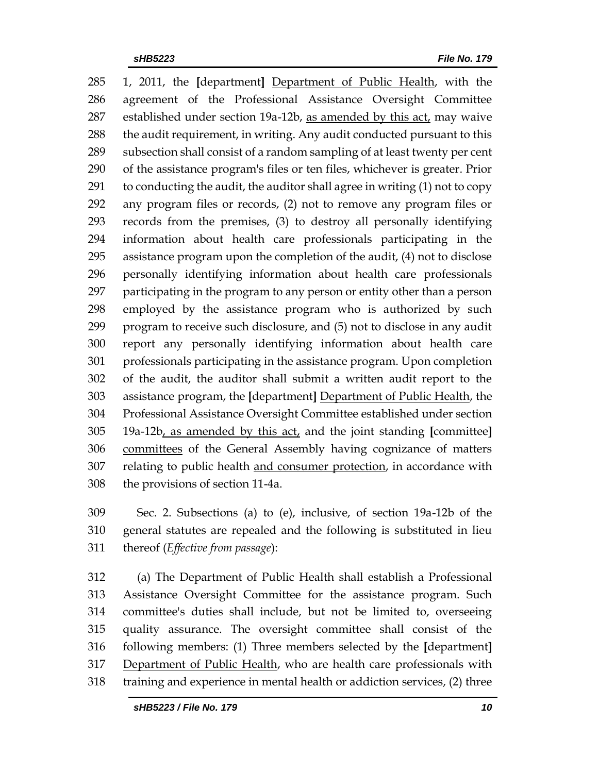1, 2011, the **[**department**]** Department of Public Health, with the agreement of the Professional Assistance Oversight Committee established under section 19a-12b, as amended by this act, may waive 288 the audit requirement, in writing. Any audit conducted pursuant to this subsection shall consist of a random sampling of at least twenty per cent of the assistance program's files or ten files, whichever is greater. Prior to conducting the audit, the auditor shall agree in writing (1) not to copy any program files or records, (2) not to remove any program files or records from the premises, (3) to destroy all personally identifying information about health care professionals participating in the assistance program upon the completion of the audit, (4) not to disclose personally identifying information about health care professionals participating in the program to any person or entity other than a person employed by the assistance program who is authorized by such program to receive such disclosure, and (5) not to disclose in any audit report any personally identifying information about health care professionals participating in the assistance program. Upon completion of the audit, the auditor shall submit a written audit report to the assistance program, the **[**department**]** Department of Public Health, the Professional Assistance Oversight Committee established under section 19a-12b, as amended by this act, and the joint standing **[**committee**]** committees of the General Assembly having cognizance of matters 307 relating to public health and consumer protection, in accordance with the provisions of section 11-4a.

 Sec. 2. Subsections (a) to (e), inclusive, of section 19a-12b of the general statutes are repealed and the following is substituted in lieu thereof (*Effective from passage*):

 (a) The Department of Public Health shall establish a Professional Assistance Oversight Committee for the assistance program. Such committee's duties shall include, but not be limited to, overseeing quality assurance. The oversight committee shall consist of the following members: (1) Three members selected by the **[**department**]** 317 Department of Public Health, who are health care professionals with training and experience in mental health or addiction services, (2) three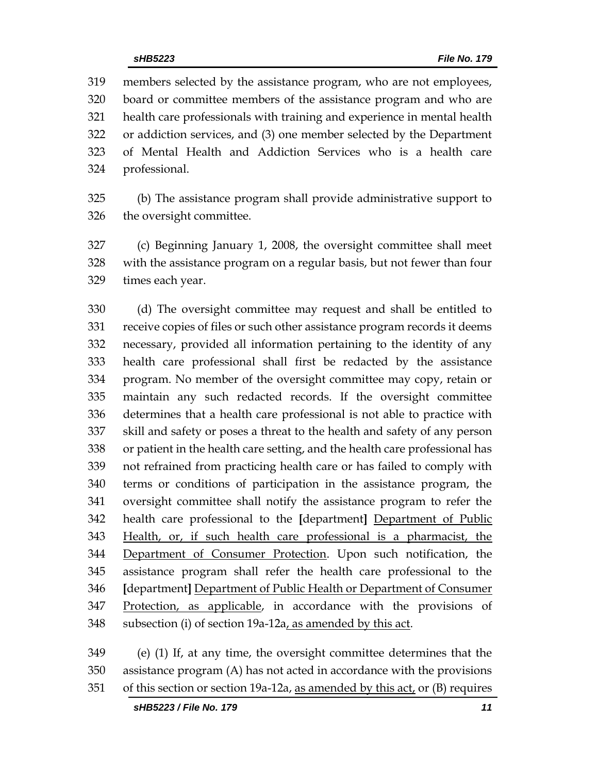members selected by the assistance program, who are not employees, board or committee members of the assistance program and who are health care professionals with training and experience in mental health or addiction services, and (3) one member selected by the Department of Mental Health and Addiction Services who is a health care professional.

 (b) The assistance program shall provide administrative support to the oversight committee.

 (c) Beginning January 1, 2008, the oversight committee shall meet with the assistance program on a regular basis, but not fewer than four times each year.

 (d) The oversight committee may request and shall be entitled to receive copies of files or such other assistance program records it deems necessary, provided all information pertaining to the identity of any health care professional shall first be redacted by the assistance program. No member of the oversight committee may copy, retain or maintain any such redacted records. If the oversight committee determines that a health care professional is not able to practice with skill and safety or poses a threat to the health and safety of any person or patient in the health care setting, and the health care professional has not refrained from practicing health care or has failed to comply with terms or conditions of participation in the assistance program, the oversight committee shall notify the assistance program to refer the health care professional to the **[**department**]** Department of Public Health, or, if such health care professional is a pharmacist, the Department of Consumer Protection. Upon such notification, the assistance program shall refer the health care professional to the **[**department**]** Department of Public Health or Department of Consumer 347 Protection, as applicable, in accordance with the provisions of subsection (i) of section 19a-12a, as amended by this act.

 (e) (1) If, at any time, the oversight committee determines that the assistance program (A) has not acted in accordance with the provisions of this section or section 19a-12a, as amended by this act, or (B) requires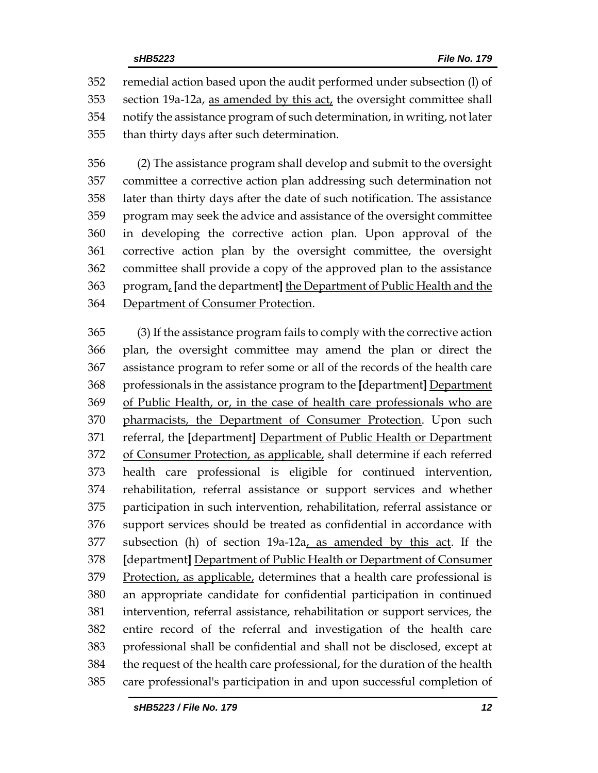remedial action based upon the audit performed under subsection (l) of section 19a-12a, as amended by this act, the oversight committee shall notify the assistance program of such determination, in writing, not later than thirty days after such determination.

 (2) The assistance program shall develop and submit to the oversight committee a corrective action plan addressing such determination not later than thirty days after the date of such notification. The assistance program may seek the advice and assistance of the oversight committee in developing the corrective action plan. Upon approval of the corrective action plan by the oversight committee, the oversight committee shall provide a copy of the approved plan to the assistance program, **[**and the department**]** the Department of Public Health and the Department of Consumer Protection.

 (3) If the assistance program fails to comply with the corrective action plan, the oversight committee may amend the plan or direct the assistance program to refer some or all of the records of the health care professionals in the assistance program to the **[**department**]** Department of Public Health, or, in the case of health care professionals who are pharmacists, the Department of Consumer Protection. Upon such referral, the **[**department**]** Department of Public Health or Department 372 of Consumer Protection, as applicable, shall determine if each referred health care professional is eligible for continued intervention, rehabilitation, referral assistance or support services and whether participation in such intervention, rehabilitation, referral assistance or support services should be treated as confidential in accordance with subsection (h) of section 19a-12a, as amended by this act. If the **[**department**]** Department of Public Health or Department of Consumer 379 Protection, as applicable, determines that a health care professional is an appropriate candidate for confidential participation in continued intervention, referral assistance, rehabilitation or support services, the entire record of the referral and investigation of the health care professional shall be confidential and shall not be disclosed, except at the request of the health care professional, for the duration of the health care professional's participation in and upon successful completion of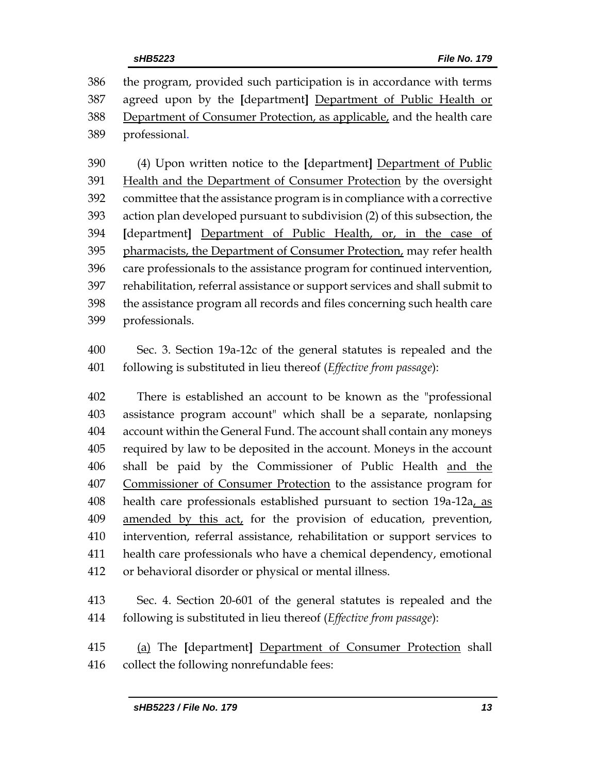the program, provided such participation is in accordance with terms agreed upon by the **[**department**]** Department of Public Health or Department of Consumer Protection, as applicable, and the health care professional.

 (4) Upon written notice to the **[**department**]** Department of Public Health and the Department of Consumer Protection by the oversight committee that the assistance program is in compliance with a corrective action plan developed pursuant to subdivision (2) of this subsection, the **[**department**]** Department of Public Health, or, in the case of 395 pharmacists, the Department of Consumer Protection, may refer health care professionals to the assistance program for continued intervention, rehabilitation, referral assistance or support services and shall submit to the assistance program all records and files concerning such health care professionals.

 Sec. 3. Section 19a-12c of the general statutes is repealed and the following is substituted in lieu thereof (*Effective from passage*):

 There is established an account to be known as the "professional assistance program account" which shall be a separate, nonlapsing account within the General Fund. The account shall contain any moneys required by law to be deposited in the account. Moneys in the account 406 shall be paid by the Commissioner of Public Health and the Commissioner of Consumer Protection to the assistance program for health care professionals established pursuant to section 19a-12a, as 409 amended by this act, for the provision of education, prevention, intervention, referral assistance, rehabilitation or support services to health care professionals who have a chemical dependency, emotional or behavioral disorder or physical or mental illness.

 Sec. 4. Section 20-601 of the general statutes is repealed and the following is substituted in lieu thereof (*Effective from passage*):

 (a) The **[**department**]** Department of Consumer Protection shall collect the following nonrefundable fees: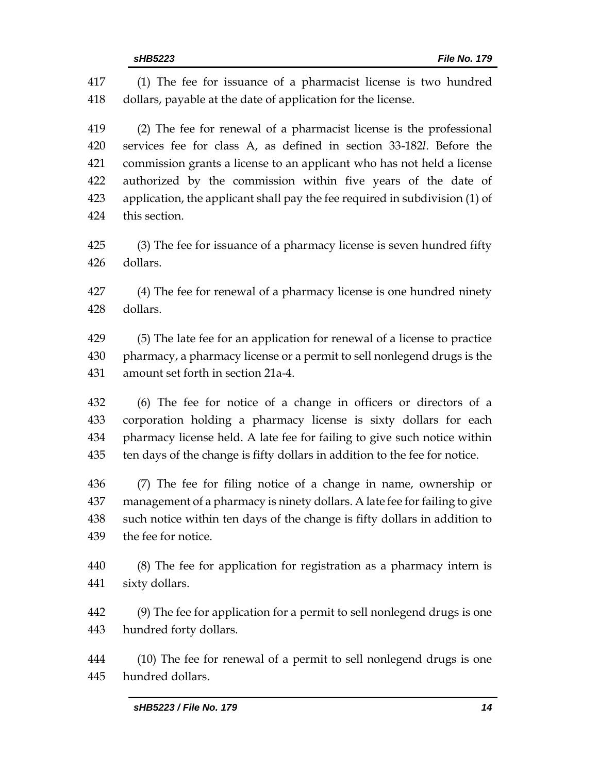| 417 | (1) The fee for issuance of a pharmacist license is two hundred             |  |  |
|-----|-----------------------------------------------------------------------------|--|--|
| 418 | dollars, payable at the date of application for the license.                |  |  |
| 419 | (2) The fee for renewal of a pharmacist license is the professional         |  |  |
| 420 | services fee for class A, as defined in section 33-182l. Before the         |  |  |
| 421 | commission grants a license to an applicant who has not held a license      |  |  |
| 422 | authorized by the commission within five years of the date of               |  |  |
| 423 | application, the applicant shall pay the fee required in subdivision (1) of |  |  |
| 424 | this section.                                                               |  |  |
| 425 | (3) The fee for issuance of a pharmacy license is seven hundred fifty       |  |  |
| 426 | dollars.                                                                    |  |  |
| 427 | (4) The fee for renewal of a pharmacy license is one hundred ninety         |  |  |
| 428 | dollars.                                                                    |  |  |
| 429 | (5) The late fee for an application for renewal of a license to practice    |  |  |
| 430 | pharmacy, a pharmacy license or a permit to sell nonlegend drugs is the     |  |  |
| 431 | amount set forth in section 21a-4.                                          |  |  |
| 432 | (6) The fee for notice of a change in officers or directors of a            |  |  |
| 433 | corporation holding a pharmacy license is sixty dollars for each            |  |  |
| 434 | pharmacy license held. A late fee for failing to give such notice within    |  |  |
| 435 | ten days of the change is fifty dollars in addition to the fee for notice.  |  |  |
| 436 | (7) The fee for filing notice of a change in name, ownership or             |  |  |
| 437 | management of a pharmacy is ninety dollars. A late fee for failing to give  |  |  |
| 438 | such notice within ten days of the change is fifty dollars in addition to   |  |  |
| 439 | the fee for notice.                                                         |  |  |
| 440 | (8) The fee for application for registration as a pharmacy intern is        |  |  |
| 441 | sixty dollars.                                                              |  |  |
| 442 | (9) The fee for application for a permit to sell nonlegend drugs is one     |  |  |
| 443 | hundred forty dollars.                                                      |  |  |
|     |                                                                             |  |  |

 (10) The fee for renewal of a permit to sell nonlegend drugs is one hundred dollars.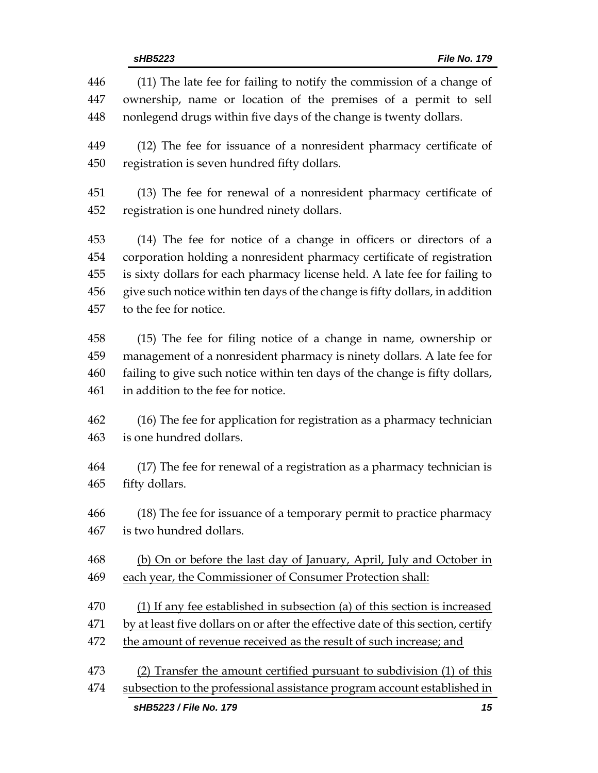| 446<br>447 | (11) The late fee for failing to notify the commission of a change of<br>ownership, name or location of the premises of a permit to sell |  |  |
|------------|------------------------------------------------------------------------------------------------------------------------------------------|--|--|
| 448        | nonlegend drugs within five days of the change is twenty dollars.                                                                        |  |  |
| 449        | (12) The fee for issuance of a nonresident pharmacy certificate of                                                                       |  |  |
| 450        | registration is seven hundred fifty dollars.                                                                                             |  |  |
| 451        | (13) The fee for renewal of a nonresident pharmacy certificate of                                                                        |  |  |
| 452        | registration is one hundred ninety dollars.                                                                                              |  |  |
| 453        | (14) The fee for notice of a change in officers or directors of a                                                                        |  |  |
| 454        | corporation holding a nonresident pharmacy certificate of registration                                                                   |  |  |
| 455        | is sixty dollars for each pharmacy license held. A late fee for failing to                                                               |  |  |
| 456        | give such notice within ten days of the change is fifty dollars, in addition                                                             |  |  |
| 457        | to the fee for notice.                                                                                                                   |  |  |
|            |                                                                                                                                          |  |  |
| 458        | (15) The fee for filing notice of a change in name, ownership or                                                                         |  |  |
| 459        | management of a nonresident pharmacy is ninety dollars. A late fee for                                                                   |  |  |
| 460        | failing to give such notice within ten days of the change is fifty dollars,                                                              |  |  |
| 461        | in addition to the fee for notice.                                                                                                       |  |  |
| 462        | (16) The fee for application for registration as a pharmacy technician                                                                   |  |  |
| 463        | is one hundred dollars.                                                                                                                  |  |  |
|            |                                                                                                                                          |  |  |
| 464        | (17) The fee for renewal of a registration as a pharmacy technician is                                                                   |  |  |
| 465        | fifty dollars.                                                                                                                           |  |  |
| 466        | (18) The fee for issuance of a temporary permit to practice pharmacy                                                                     |  |  |
| 467        | is two hundred dollars.                                                                                                                  |  |  |
|            |                                                                                                                                          |  |  |
| 468        | (b) On or before the last day of January, April, July and October in                                                                     |  |  |
| 469        | each year, the Commissioner of Consumer Protection shall:                                                                                |  |  |
| 470        | (1) If any fee established in subsection (a) of this section is increased                                                                |  |  |
| 471        | by at least five dollars on or after the effective date of this section, certify                                                         |  |  |
| 472        | the amount of revenue received as the result of such increase; and                                                                       |  |  |
| 473        | (2) Transfer the amount certified pursuant to subdivision (1) of this                                                                    |  |  |
| 474        | subsection to the professional assistance program account established in                                                                 |  |  |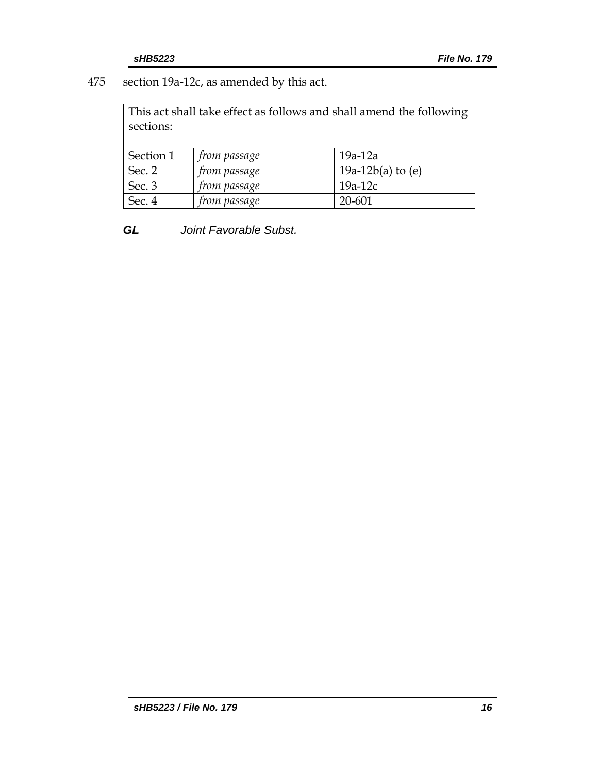### 475 section 19a-12c, as amended by this act.

This act shall take effect as follows and shall amend the following sections:

| Section 1 | <i>from passage</i> | $19a-12a$           |
|-----------|---------------------|---------------------|
| Sec. 2    | <i>from passage</i> | 19a-12b(a) to $(e)$ |
| Sec. 3    | <i>from passage</i> | $19a-12c$           |
| Sec. 4    | from passage        | 20-601              |

*GL Joint Favorable Subst.*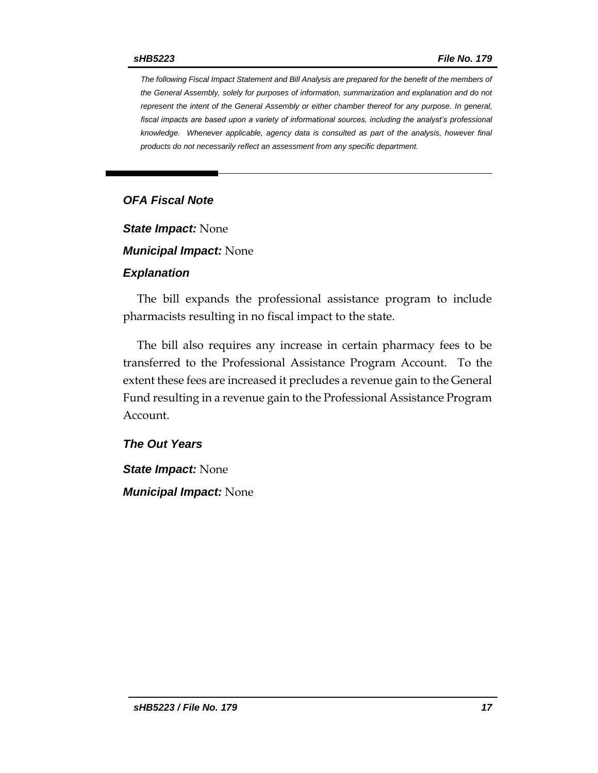*The following Fiscal Impact Statement and Bill Analysis are prepared for the benefit of the members of the General Assembly, solely for purposes of information, summarization and explanation and do not represent the intent of the General Assembly or either chamber thereof for any purpose. In general,*  fiscal impacts are based upon a variety of informational sources, including the analyst's professional *knowledge. Whenever applicable, agency data is consulted as part of the analysis, however final products do not necessarily reflect an assessment from any specific department.*

### *OFA Fiscal Note*

*State Impact:* None

*Municipal Impact:* None

#### *Explanation*

The bill expands the professional assistance program to include pharmacists resulting in no fiscal impact to the state.

The bill also requires any increase in certain pharmacy fees to be transferred to the Professional Assistance Program Account. To the extent these fees are increased it precludes a revenue gain to the General Fund resulting in a revenue gain to the Professional Assistance Program Account.

#### *The Out Years*

*State Impact:* None *Municipal Impact:* None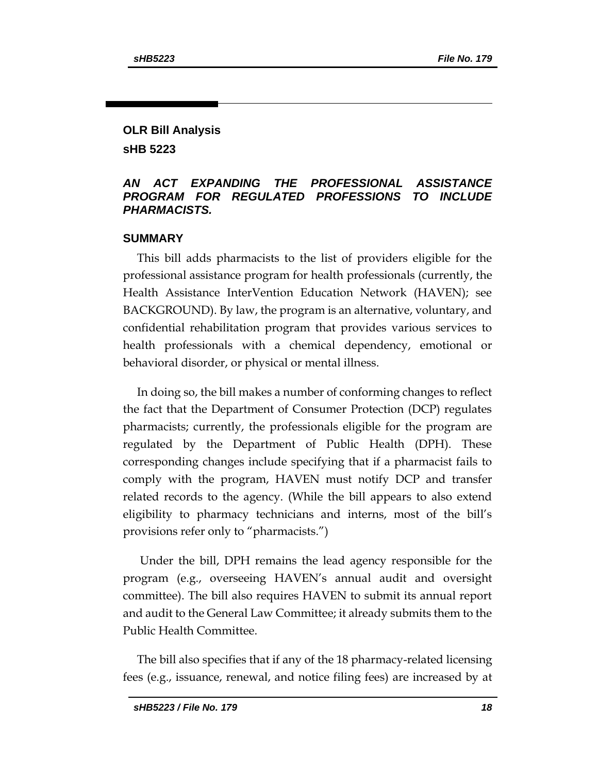# **OLR Bill Analysis**

**sHB 5223**

### *AN ACT EXPANDING THE PROFESSIONAL ASSISTANCE PROGRAM FOR REGULATED PROFESSIONS TO INCLUDE PHARMACISTS.*

### **SUMMARY**

This bill adds pharmacists to the list of providers eligible for the professional assistance program for health professionals (currently, the Health Assistance InterVention Education Network (HAVEN); see BACKGROUND). By law, the program is an alternative, voluntary, and confidential rehabilitation program that provides various services to health professionals with a chemical dependency, emotional or behavioral disorder, or physical or mental illness.

In doing so, the bill makes a number of conforming changes to reflect the fact that the Department of Consumer Protection (DCP) regulates pharmacists; currently, the professionals eligible for the program are regulated by the Department of Public Health (DPH). These corresponding changes include specifying that if a pharmacist fails to comply with the program, HAVEN must notify DCP and transfer related records to the agency. (While the bill appears to also extend eligibility to pharmacy technicians and interns, most of the bill's provisions refer only to "pharmacists.")

Under the bill, DPH remains the lead agency responsible for the program (e.g., overseeing HAVEN's annual audit and oversight committee). The bill also requires HAVEN to submit its annual report and audit to the General Law Committee; it already submits them to the Public Health Committee.

The bill also specifies that if any of the 18 pharmacy-related licensing fees (e.g., issuance, renewal, and notice filing fees) are increased by at